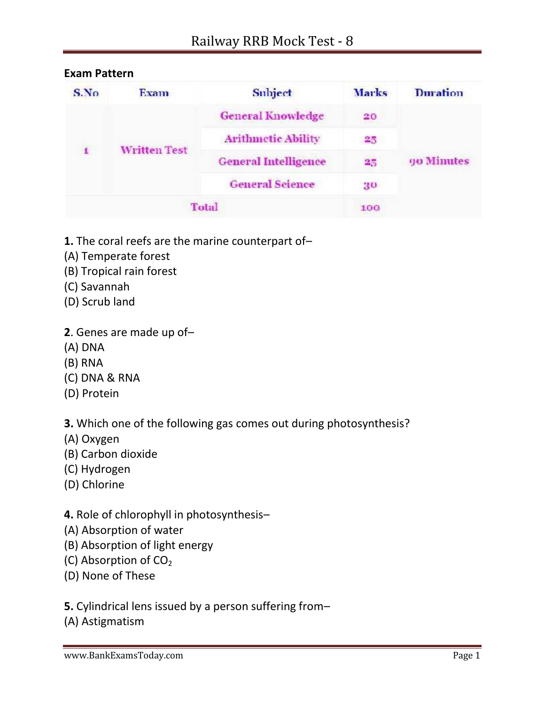| S.No         | Exam                | Subject                         | Marks | Duration   |
|--------------|---------------------|---------------------------------|-------|------------|
|              |                     | <b>General Knowledge</b>        | 20    |            |
| $\mathbf{I}$ |                     | <b>Arithmetic Ability</b><br>25 |       |            |
|              | <b>Written Test</b> | <b>General Intelligence</b>     | 25    | 90 Minutes |
|              |                     | <b>General Science</b>          | 30    |            |
|              |                     | Total                           | 100   |            |

## **Exam Pattern**

- **1.** The coral reefs are the marine counterpart of–
- (A) Temperate forest
- (B) Tropical rain forest
- (C) Savannah
- (D) Scrub land
- **2**. Genes are made up of–
- (A) DNA
- (B) RNA
- (C) DNA & RNA
- (D) Protein

**3.** Which one of the following gas comes out during photosynthesis?

- (A) Oxygen
- (B) Carbon dioxide
- (C) Hydrogen
- (D) Chlorine

**4.** Role of chlorophyll in photosynthesis–

- (A) Absorption of water
- (B) Absorption of light energy
- (C) Absorption of  $CO<sub>2</sub>$
- (D) None of These

**5.** Cylindrical lens issued by a person suffering from–

(A) Astigmatism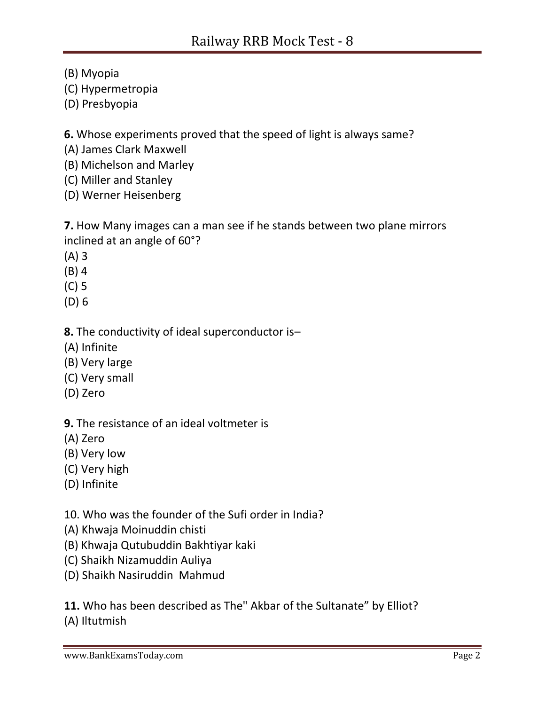(B) Myopia

(C) Hypermetropia

(D) Presbyopia

**6.** Whose experiments proved that the speed of light is always same?

(A) James Clark Maxwell

(B) Michelson and Marley

(C) Miller and Stanley

(D) Werner Heisenberg

**7.** How Many images can a man see if he stands between two plane mirrors inclined at an angle of 60°?

(A) 3

(B) 4

(C) 5

(D) 6

**8.** The conductivity of ideal superconductor is–

(A) Infinite

- (B) Very large
- (C) Very small
- (D) Zero

**9.** The resistance of an ideal voltmeter is

(A) Zero

(B) Very low

(C) Very high

(D) Infinite

10. Who was the founder of the Sufi order in India?

- (A) Khwaja Moinuddin chisti
- (B) Khwaja Qutubuddin Bakhtiyar kaki
- (C) Shaikh Nizamuddin Auliya
- (D) Shaikh Nasiruddin Mahmud

**11.** Who has been described as The" Akbar of the Sultanate" by Elliot? (A) Iltutmish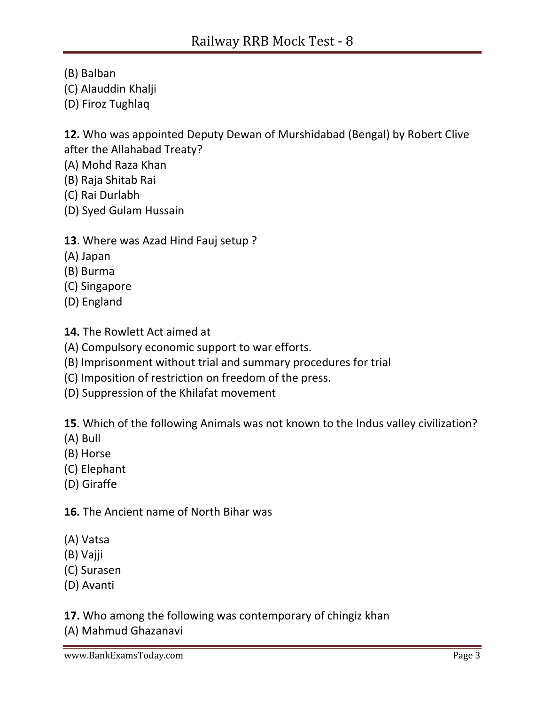(B) Balban

- (C) Alauddin Khalji
- (D) Firoz Tughlaq

**12.** Who was appointed Deputy Dewan of Murshidabad (Bengal) by Robert Clive after the Allahabad Treaty?

- (A) Mohd Raza Khan
- (B) Raja Shitab Rai
- (C) Rai Durlabh
- (D) Syed Gulam Hussain

# **13**. Where was Azad Hind Fauj setup ?

- (A) Japan
- (B) Burma
- (C) Singapore
- (D) England
- **14.** The Rowlett Act aimed at
- (A) Compulsory economic support to war efforts.
- (B) Imprisonment without trial and summary procedures for trial
- (C) Imposition of restriction on freedom of the press.
- (D) Suppression of the Khilafat movement

**15**. Which of the following Animals was not known to the Indus valley civilization?

- (A) Bull
- (B) Horse
- (C) Elephant
- (D) Giraffe

**16.** The Ancient name of North Bihar was

- (A) Vatsa
- (B) Vajji
- (C) Surasen
- (D) Avanti

**17.** Who among the following was contemporary of chingiz khan

(A) Mahmud Ghazanavi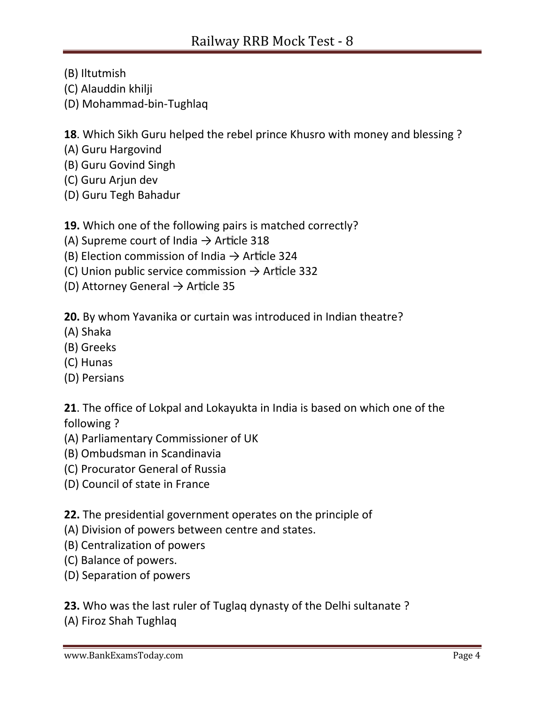- (B) Iltutmish
- (C) Alauddin khilji
- (D) Mohammad-bin-Tughlaq

**18**. Which Sikh Guru helped the rebel prince Khusro with money and blessing ?

- (A) Guru Hargovind
- (B) Guru Govind Singh
- (C) Guru Arjun dev
- (D) Guru Tegh Bahadur

**19.** Which one of the following pairs is matched correctly?

- (A) Supreme court of India  $\rightarrow$  Article 318
- (B) Election commission of India  $\rightarrow$  Article 324
- (C) Union public service commission  $\rightarrow$  Article 332
- (D) Attorney General  $\rightarrow$  Article 35

**20.** By whom Yavanika or curtain was introduced in Indian theatre?

- (A) Shaka
- (B) Greeks
- (C) Hunas
- (D) Persians

**21**. The office of Lokpal and Lokayukta in India is based on which one of the following ?

- (A) Parliamentary Commissioner of UK
- (B) Ombudsman in Scandinavia
- (C) Procurator General of Russia
- (D) Council of state in France

**22.** The presidential government operates on the principle of

- (A) Division of powers between centre and states.
- (B) Centralization of powers
- (C) Balance of powers.
- (D) Separation of powers

**23.** Who was the last ruler of Tuglaq dynasty of the Delhi sultanate ? (A) Firoz Shah Tughlaq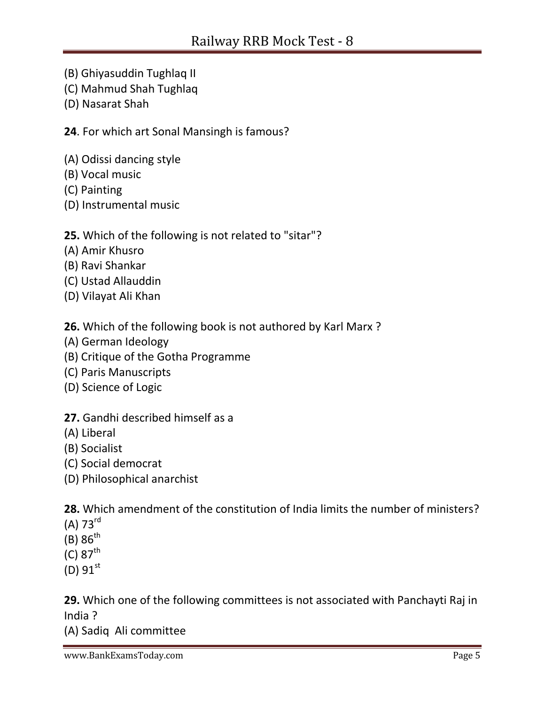- (B) Ghiyasuddin Tughlaq II
- (C) Mahmud Shah Tughlaq
- (D) Nasarat Shah

**24**. For which art Sonal Mansingh is famous?

- (A) Odissi dancing style
- (B) Vocal music
- (C) Painting
- (D) Instrumental music

## **25.** Which of the following is not related to "sitar"?

- (A) Amir Khusro
- (B) Ravi Shankar
- (C) Ustad Allauddin
- (D) Vilayat Ali Khan

**26.** Which of the following book is not authored by Karl Marx ?

- (A) German Ideology
- (B) Critique of the Gotha Programme
- (C) Paris Manuscripts
- (D) Science of Logic

# **27.** Gandhi described himself as a

- (A) Liberal
- (B) Socialist
- (C) Social democrat
- (D) Philosophical anarchist

**28.** Which amendment of the constitution of India limits the number of ministers?

- (A) 73rd
- $(B) 86<sup>th</sup>$
- $(C) 87^{th}$
- $(D) 91^{st}$

**29.** Which one of the following committees is not associated with Panchayti Raj in India ?

(A) Sadiq Ali committee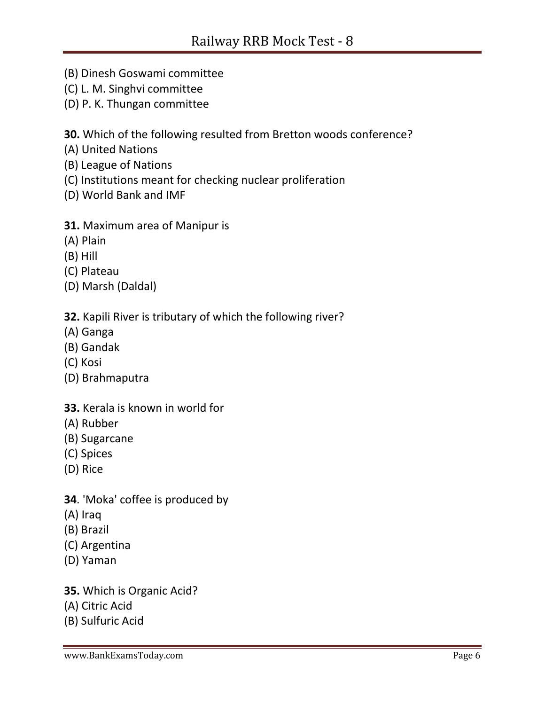- (B) Dinesh Goswami committee
- (C) L. M. Singhvi committee
- (D) P. K. Thungan committee

**30.** Which of the following resulted from Bretton woods conference?

- (A) United Nations
- (B) League of Nations
- (C) Institutions meant for checking nuclear proliferation
- (D) World Bank and IMF

### **31.** Maximum area of Manipur is

- (A) Plain
- (B) Hill
- (C) Plateau
- (D) Marsh (Daldal)

## **32.** Kapili River is tributary of which the following river?

- (A) Ganga
- (B) Gandak
- (C) Kosi
- (D) Brahmaputra

### **33.** Kerala is known in world for

- (A) Rubber
- (B) Sugarcane
- (C) Spices
- (D) Rice
- **34**. 'Moka' coffee is produced by
- (A) Iraq
- (B) Brazil
- (C) Argentina
- (D) Yaman
- **35.** Which is Organic Acid?
- (A) Citric Acid
- (B) Sulfuric Acid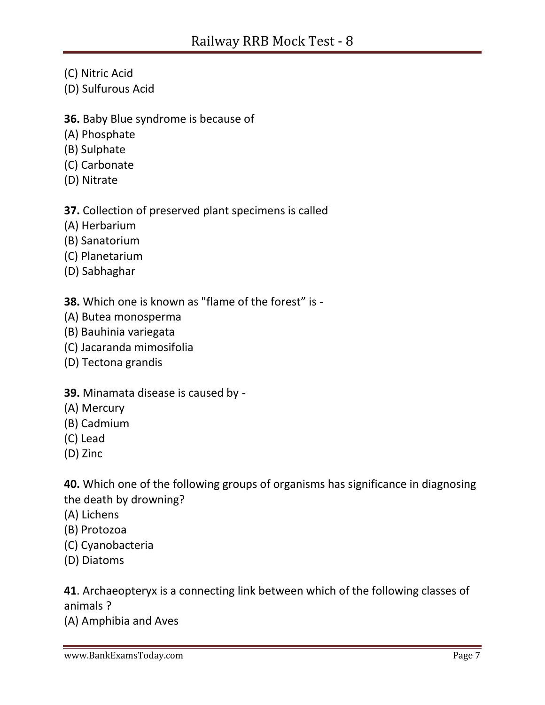- (C) Nitric Acid
- (D) Sulfurous Acid
- **36.** Baby Blue syndrome is because of
- (A) Phosphate
- (B) Sulphate
- (C) Carbonate
- (D) Nitrate

**37.** Collection of preserved plant specimens is called

- (A) Herbarium
- (B) Sanatorium
- (C) Planetarium
- (D) Sabhaghar

**38.** Which one is known as "flame of the forest" is -

- (A) Butea monosperma
- (B) Bauhinia variegata
- (C) Jacaranda mimosifolia
- (D) Tectona grandis

#### **39.** Minamata disease is caused by -

- (A) Mercury
- (B) Cadmium
- (C) Lead
- (D) Zinc

**40.** Which one of the following groups of organisms has significance in diagnosing the death by drowning?

- (A) Lichens
- (B) Protozoa
- (C) Cyanobacteria
- (D) Diatoms

**41**. Archaeopteryx is a connecting link between which of the following classes of animals ?

(A) Amphibia and Aves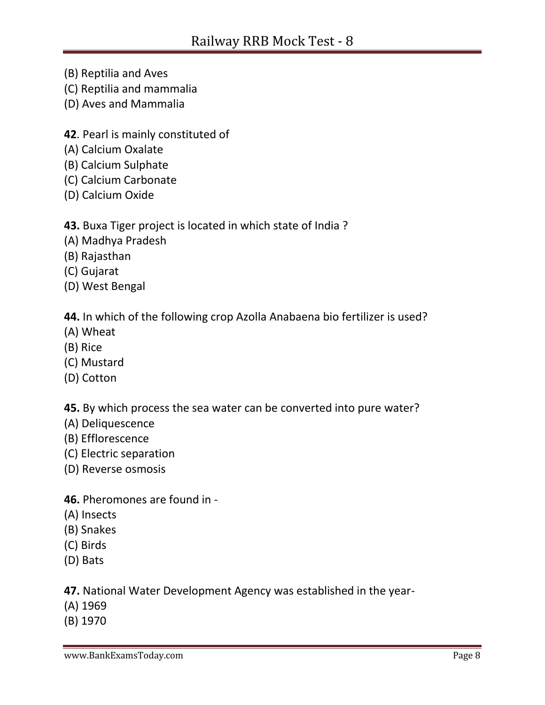- (B) Reptilia and Aves
- (C) Reptilia and mammalia
- (D) Aves and Mammalia
- **42**. Pearl is mainly constituted of
- (A) Calcium Oxalate
- (B) Calcium Sulphate
- (C) Calcium Carbonate
- (D) Calcium Oxide

### **43.** Buxa Tiger project is located in which state of India ?

- (A) Madhya Pradesh
- (B) Rajasthan
- (C) Gujarat
- (D) West Bengal

## **44.** In which of the following crop Azolla Anabaena bio fertilizer is used?

- (A) Wheat
- (B) Rice
- (C) Mustard
- (D) Cotton

**45.** By which process the sea water can be converted into pure water?

- (A) Deliquescence
- (B) Efflorescence
- (C) Electric separation
- (D) Reverse osmosis

#### **46.** Pheromones are found in -

- (A) Insects
- (B) Snakes
- (C) Birds
- (D) Bats

**47.** National Water Development Agency was established in the year-

- (A) 1969
- (B) 1970

www.BankExamsToday.com **Page 8**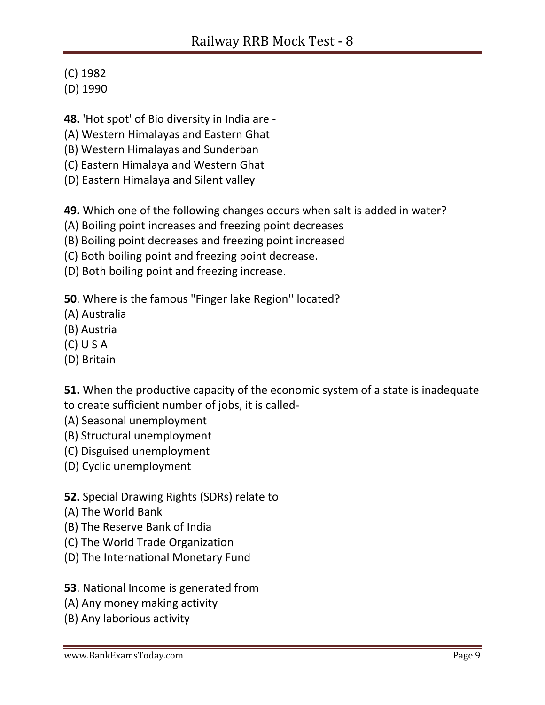(C) 1982

(D) 1990

**48.** 'Hot spot' of Bio diversity in India are -

(A) Western Himalayas and Eastern Ghat

(B) Western Himalayas and Sunderban

(C) Eastern Himalaya and Western Ghat

(D) Eastern Himalaya and Silent valley

**49.** Which one of the following changes occurs when salt is added in water?

(A) Boiling point increases and freezing point decreases

(B) Boiling point decreases and freezing point increased

(C) Both boiling point and freezing point decrease.

(D) Both boiling point and freezing increase.

**50**. Where is the famous "Finger lake Region'' located?

(A) Australia

- (B) Austria
- (C) U S A
- (D) Britain

**51.** When the productive capacity of the economic system of a state is inadequate to create sufficient number of jobs, it is called-

- (A) Seasonal unemployment
- (B) Structural unemployment
- (C) Disguised unemployment
- (D) Cyclic unemployment

**52.** Special Drawing Rights (SDRs) relate to

- (A) The World Bank
- (B) The Reserve Bank of India
- (C) The World Trade Organization
- (D) The International Monetary Fund

**53**. National Income is generated from

- (A) Any money making activity
- (B) Any laborious activity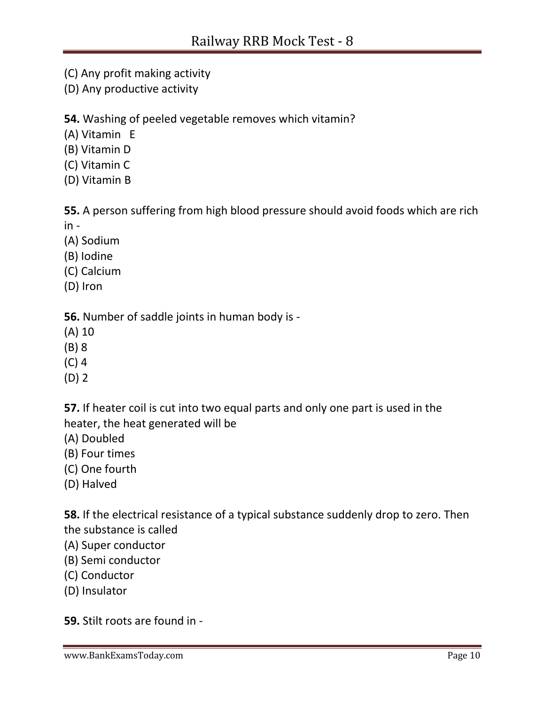- (C) Any profit making activity
- (D) Any productive activity

**54.** Washing of peeled vegetable removes which vitamin?

- (A) Vitamin E
- (B) Vitamin D
- (C) Vitamin C
- (D) Vitamin B

**55.** A person suffering from high blood pressure should avoid foods which are rich in -

- (A) Sodium
- (B) Iodine
- (C) Calcium
- (D) Iron

**56.** Number of saddle joints in human body is -

- (A) 10
- (B) 8
- (C) 4
- (D) 2

**57.** If heater coil is cut into two equal parts and only one part is used in the heater, the heat generated will be

- (A) Doubled
- (B) Four times
- (C) One fourth
- (D) Halved

**58.** If the electrical resistance of a typical substance suddenly drop to zero. Then the substance is called

- (A) Super conductor
- (B) Semi conductor
- (C) Conductor
- (D) Insulator

**59.** Stilt roots are found in -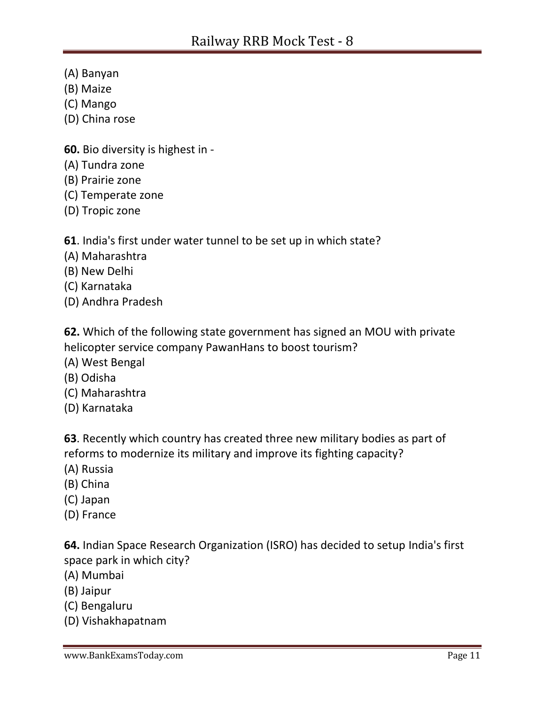- (A) Banyan
- (B) Maize
- (C) Mango
- (D) China rose
- **60.** Bio diversity is highest in -
- (A) Tundra zone
- (B) Prairie zone
- (C) Temperate zone
- (D) Tropic zone
- **61**. India's first under water tunnel to be set up in which state?
- (A) Maharashtra
- (B) New Delhi
- (C) Karnataka
- (D) Andhra Pradesh

**62.** Which of the following state government has signed an MOU with private helicopter service company PawanHans to boost tourism?

- (A) West Bengal
- (B) Odisha
- (C) Maharashtra
- (D) Karnataka

**63**. Recently which country has created three new military bodies as part of reforms to modernize its military and improve its fighting capacity?

- (A) Russia
- (B) China
- (C) Japan
- (D) France

**64.** Indian Space Research Organization (ISRO) has decided to setup India's first space park in which city?

- (A) Mumbai
- (B) Jaipur
- (C) Bengaluru
- (D) Vishakhapatnam

www.BankExamsToday.com **Page 11**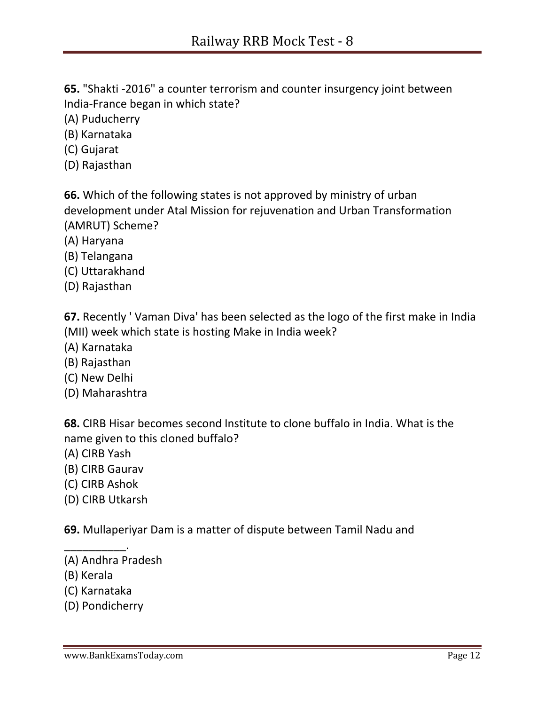**65.** "Shakti -2016" a counter terrorism and counter insurgency joint between India-France began in which state?

(A) Puducherry

(B) Karnataka

- (C) Gujarat
- (D) Rajasthan

**66.** Which of the following states is not approved by ministry of urban development under Atal Mission for rejuvenation and Urban Transformation (AMRUT) Scheme?

- (A) Haryana
- (B) Telangana
- (C) Uttarakhand
- (D) Rajasthan

**67.** Recently ' Vaman Diva' has been selected as the logo of the first make in India (MII) week which state is hosting Make in India week?

- (A) Karnataka
- (B) Rajasthan
- (C) New Delhi
- (D) Maharashtra

**68.** CIRB Hisar becomes second Institute to clone buffalo in India. What is the name given to this cloned buffalo?

- (A) CIRB Yash
- (B) CIRB Gaurav
- (C) CIRB Ashok
- (D) CIRB Utkarsh

**69.** Mullaperiyar Dam is a matter of dispute between Tamil Nadu and

(A) Andhra Pradesh

\_\_\_\_\_\_\_\_\_\_.

- (B) Kerala
- (C) Karnataka
- (D) Pondicherry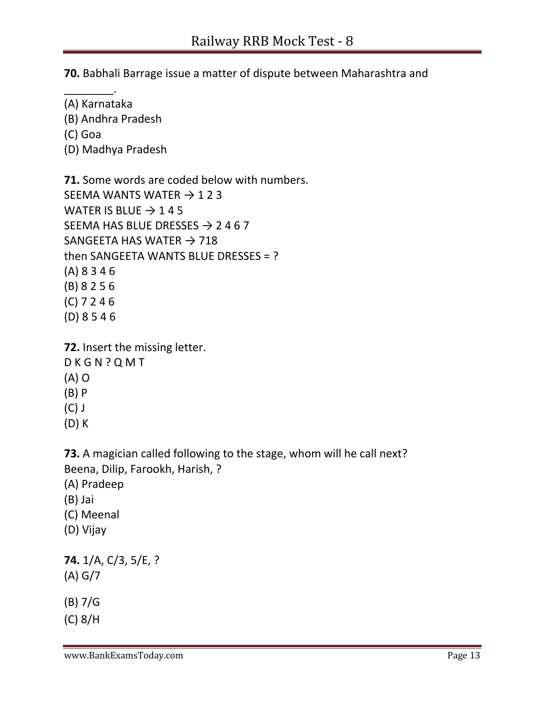**70.** Babhali Barrage issue a matter of dispute between Maharashtra and

- \_\_\_\_\_\_\_\_. (A) Karnataka
- (B) Andhra Pradesh
- (C) Goa
- (D) Madhya Pradesh

**71.** Some words are coded below with numbers. SEEMA WANTS WATER  $\rightarrow$  1 2 3 WATER IS BLUE  $\rightarrow$  145 SEEMA HAS BLUE DRESSES  $\rightarrow$  2467 SANGEETA HAS WATER  $\rightarrow$  718 then SANGEETA WANTS BLUE DRESSES = ? (A) 8 3 4 6 (B) 8 2 5 6 (C) 7 2 4 6 (D) 8 5 4 6

**72.** Insert the missing letter. D K G N ? Q M T (A) O (B) P (C) J (D) K

**73.** A magician called following to the stage, whom will he call next? Beena, Dilip, Farookh, Harish, ?

- (A) Pradeep
- (B) Jai
- (C) Meenal
- (D) Vijay

**74.** 1/A, C/3, 5/E, ? (A) G/7

(B) 7/G

(C) 8/H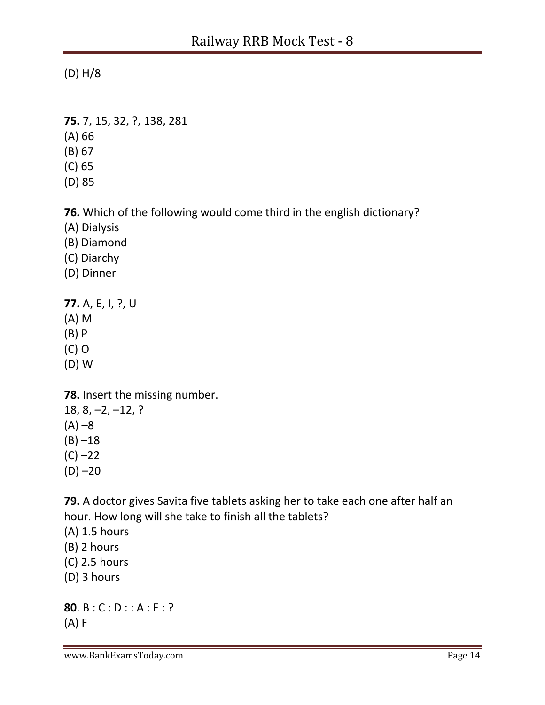(D) H/8

- **75.** 7, 15, 32, ?, 138, 281
- (A) 66
- (B) 67
- (C) 65
- (D) 85

**76.** Which of the following would come third in the english dictionary?

- (A) Dialysis
- (B) Diamond
- (C) Diarchy
- (D) Dinner

**77.** A, E, I, ?, U (A) M (B) P (C) O

(D) W

**78.** Insert the missing number.

18, 8, –2, –12, ?  $(A) -8$  $(B) -18$  $(C) -22$  $(D) -20$ 

**79.** A doctor gives Savita five tablets asking her to take each one after half an hour. How long will she take to finish all the tablets?

- (A) 1.5 hours
- (B) 2 hours
- (C) 2.5 hours
- (D) 3 hours

**80**. B : C : D : : A : E : ? (A) F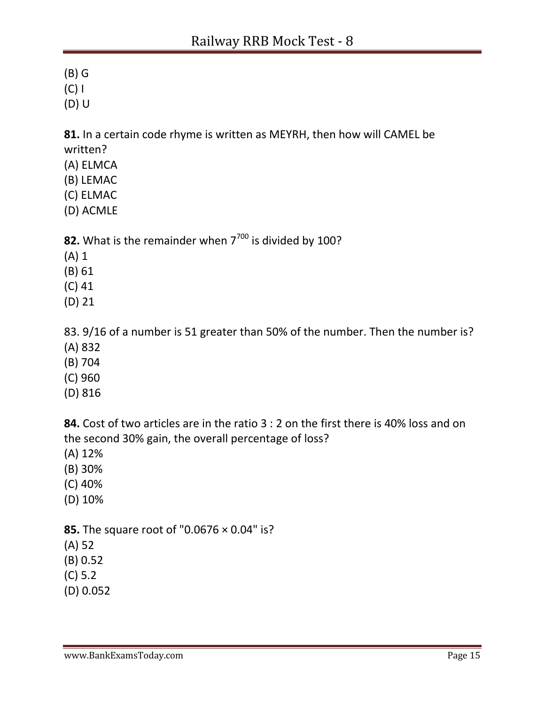(B) G

(C) I

(D) U

**81.** In a certain code rhyme is written as MEYRH, then how will CAMEL be written?

- (A) ELMCA
- (B) LEMAC
- (C) ELMAC
- (D) ACMLE

**82.** What is the remainder when 7<sup>700</sup> is divided by 100?

- (A) 1
- (B) 61
- (C) 41
- (D) 21

83. 9/16 of a number is 51 greater than 50% of the number. Then the number is?

- (A) 832
- (B) 704
- (C) 960
- (D) 816

**84.** Cost of two articles are in the ratio 3 : 2 on the first there is 40% loss and on the second 30% gain, the overall percentage of loss?

- (A) 12%
- (B) 30%
- (C) 40%
- (D) 10%

**85.** The square root of "0.0676 × 0.04" is?

(A) 52

- (B) 0.52
- (C) 5.2
- (D) 0.052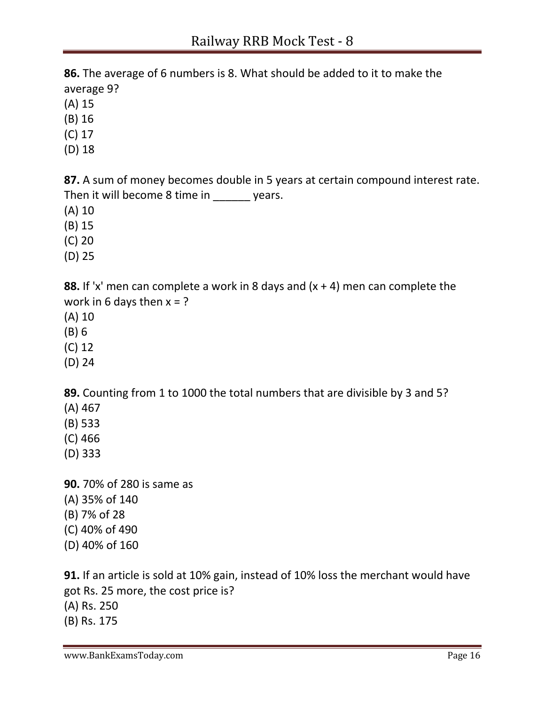**86.** The average of 6 numbers is 8. What should be added to it to make the average 9?

- (A) 15
- (B) 16
- (C) 17
- (D) 18

**87.** A sum of money becomes double in 5 years at certain compound interest rate. Then it will become 8 time in years.

- (A) 10
- (B) 15
- (C) 20
- (D) 25

**88.** If 'x' men can complete a work in 8 days and (x + 4) men can complete the work in 6 days then  $x = ?$ 

- (A) 10
- (B) 6
- (C) 12
- (D) 24

**89.** Counting from 1 to 1000 the total numbers that are divisible by 3 and 5?

- (A) 467
- (B) 533
- (C) 466
- (D) 333
- **90.** 70% of 280 is same as (A) 35% of 140 (B) 7% of 28 (C) 40% of 490 (D) 40% of 160

**91.** If an article is sold at 10% gain, instead of 10% loss the merchant would have got Rs. 25 more, the cost price is? (A) Rs. 250 (B) Rs. 175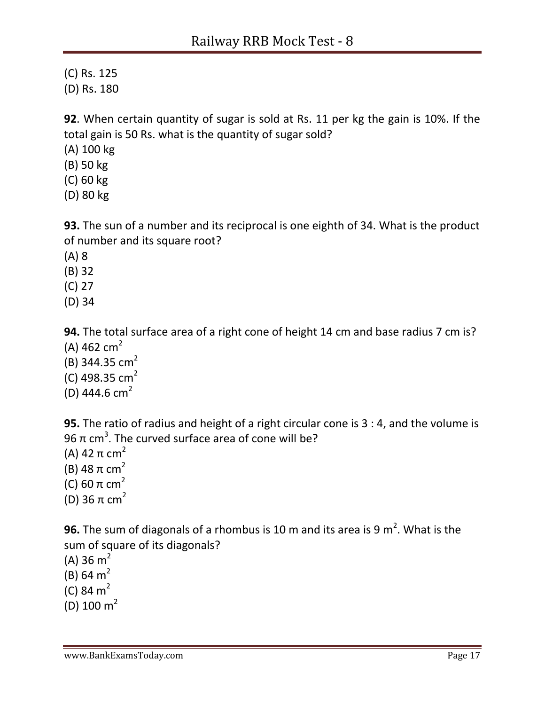(C) Rs. 125

(D) Rs. 180

**92**. When certain quantity of sugar is sold at Rs. 11 per kg the gain is 10%. If the total gain is 50 Rs. what is the quantity of sugar sold?

(A) 100 kg

- (B) 50 kg
- (C) 60 kg
- (D) 80 kg

**93.** The sun of a number and its reciprocal is one eighth of 34. What is the product of number and its square root?

(A) 8

(B) 32

(C) 27

(D) 34

**94.** The total surface area of a right cone of height 14 cm and base radius 7 cm is? (A) 462  $cm<sup>2</sup>$ 

- (B) 344.35  $cm<sup>2</sup>$
- (C) 498.35  $cm<sup>2</sup>$
- (D) 444.6  $cm<sup>2</sup>$

**95.** The ratio of radius and height of a right circular cone is 3 : 4, and the volume is 96 π cm $^3.$  The curved surface area of cone will be?

(A) 42  $\pi$  cm<sup>2</sup> (B) 48  $π$  cm<sup>2</sup> (C) 60  $\pi$  cm<sup>2</sup> (D) 36  $π$  cm<sup>2</sup>

**96.** The sum of diagonals of a rhombus is 10 m and its area is 9  $m^2$ . What is the sum of square of its diagonals?

(A) 36  $m<sup>2</sup>$ 

(B) 64  $m<sup>2</sup>$ 

(C) 84  $m<sup>2</sup>$ 

(D)  $100 \text{ m}^2$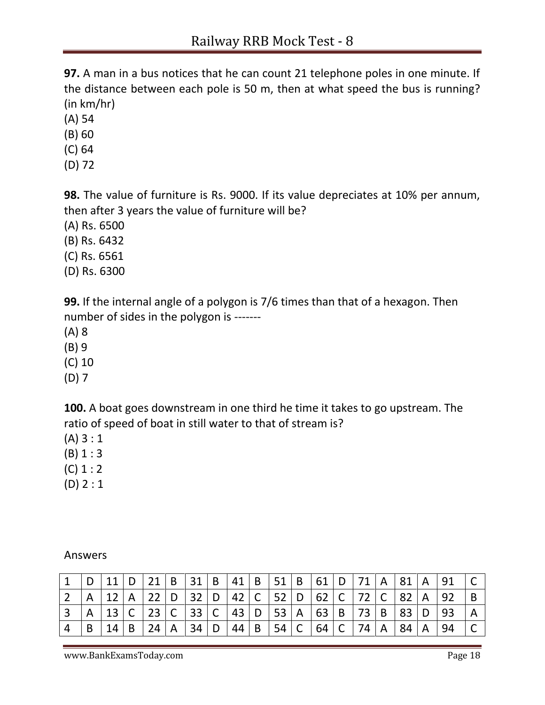**97.** A man in a bus notices that he can count 21 telephone poles in one minute. If the distance between each pole is 50 m, then at what speed the bus is running? (in km/hr)

- (A) 54
- (B) 60
- (C) 64
- (D) 72

**98.** The value of furniture is Rs. 9000. If its value depreciates at 10% per annum, then after 3 years the value of furniture will be?

- (A) Rs. 6500
- (B) Rs. 6432
- (C) Rs. 6561
- (D) Rs. 6300

**99.** If the internal angle of a polygon is 7/6 times than that of a hexagon. Then number of sides in the polygon is -------

- (A) 8
- (B) 9
- (C) 10
- (D) 7

**100.** A boat goes downstream in one third he time it takes to go upstream. The ratio of speed of boat in still water to that of stream is?

- (A) 3 : 1
- (B) 1 : 3
- $(C) 1 : 2$
- (D) 2 : 1

|   | 11 |              | $21 \mid B$ |              | 31 B 41        |   |    |   | $B$   51   B             |                         |      | 61 D 71 A |              | 81  | $\overline{A}$ | 91  |   |
|---|----|--------------|-------------|--------------|----------------|---|----|---|--------------------------|-------------------------|------|-----------|--------------|-----|----------------|-----|---|
|   |    | $\mathsf{A}$ | 22 D        |              | 32 D 42 C 52 D |   |    |   |                          |                         |      | 62 C 72   | $\mathsf{C}$ | -82 | $\mathsf{A}$   | 92  | B |
|   |    | $\mathsf{C}$ |             |              | 23 C 33 C      |   | 43 | D | 53   A                   |                         |      | 63 B 73   | B            | -83 | D              | -93 | A |
| B | 14 | B            | 24          | $\mathsf{A}$ | 34             | D | 44 | B | $^{\circ}$ 54 $_{\circ}$ | $\overline{\mathsf{C}}$ | 64 C | 74        | $\mathsf{A}$ | 84  | $\mathsf{A}$   | 94  |   |

Answers

www.BankExamsToday.com **Page 18**